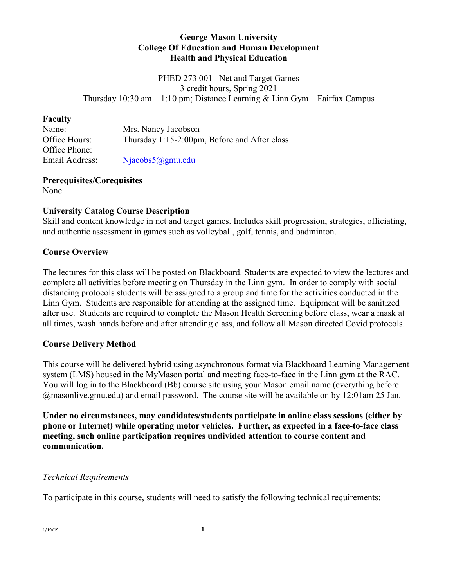### **George Mason University College Of Education and Human Development Health and Physical Education**

PHED 273 001– Net and Target Games 3 credit hours, Spring 2021 Thursday 10:30 am  $-1:10$  pm; Distance Learning & Linn Gym – Fairfax Campus

### **Faculty**

| Name:          | Mrs. Nancy Jacobson                          |
|----------------|----------------------------------------------|
| Office Hours:  | Thursday 1:15-2:00pm, Before and After class |
| Office Phone:  |                                              |
| Email Address: | Njacobs5@gmu.edu                             |
|                |                                              |

## **Prerequisites/Corequisites**

None

# **University Catalog Course Description**

Skill and content knowledge in net and target games. Includes skill progression, strategies, officiating, and authentic assessment in games such as volleyball, golf, tennis, and badminton.

## **Course Overview**

The lectures for this class will be posted on Blackboard. Students are expected to view the lectures and complete all activities before meeting on Thursday in the Linn gym. In order to comply with social distancing protocols students will be assigned to a group and time for the activities conducted in the Linn Gym. Students are responsible for attending at the assigned time. Equipment will be sanitized after use. Students are required to complete the Mason Health Screening before class, wear a mask at all times, wash hands before and after attending class, and follow all Mason directed Covid protocols.

## **Course Delivery Method**

This course will be delivered hybrid using asynchronous format via Blackboard Learning Management system (LMS) housed in the MyMason portal and meeting face-to-face in the Linn gym at the RAC. You will log in to the Blackboard (Bb) course site using your Mason email name (everything before @masonlive.gmu.edu) and email password. The course site will be available on by 12:01am 25 Jan.

**Under no circumstances, may candidates/students participate in online class sessions (either by phone or Internet) while operating motor vehicles. Further, as expected in a face-to-face class meeting, such online participation requires undivided attention to course content and communication.**

## *Technical Requirements*

To participate in this course, students will need to satisfy the following technical requirements: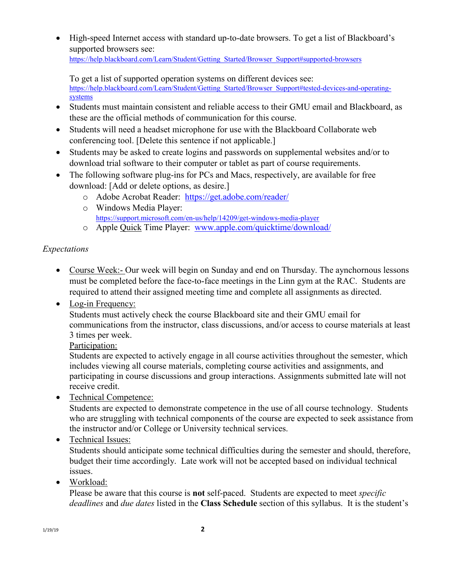• High-speed Internet access with standard up-to-date browsers. To get a list of Blackboard's supported browsers see: [https://help.blackboard.com/Learn/Student/Getting\\_Started/Browser\\_Support#supported-browsers](https://help.blackboard.com/Learn/Student/Getting_Started/Browser_Support#supported-browsers)

To get a list of supported operation systems on different devices see: [https://help.blackboard.com/Learn/Student/Getting\\_Started/Browser\\_Support#tested-devices-and-operating](https://help.blackboard.com/Learn/Student/Getting_Started/Browser_Support#tested-devices-and-operating-systems)[systems](https://help.blackboard.com/Learn/Student/Getting_Started/Browser_Support#tested-devices-and-operating-systems)

- Students must maintain consistent and reliable access to their GMU email and Blackboard, as these are the official methods of communication for this course.
- Students will need a headset microphone for use with the Blackboard Collaborate web conferencing tool. [Delete this sentence if not applicable.]
- Students may be asked to create logins and passwords on supplemental websites and/or to download trial software to their computer or tablet as part of course requirements.
- The following software plug-ins for PCs and Macs, respectively, are available for free download: [Add or delete options, as desire.]
	- o Adobe Acrobat Reader: <https://get.adobe.com/reader/>
	- o Windows Media Player: <https://support.microsoft.com/en-us/help/14209/get-windows-media-player>
	- o Apple Quick Time Player: [www.apple.com/quicktime/download/](http://www.apple.com/quicktime/download/)

## *Expectations*

- Course Week:- Our week will begin on Sunday and end on Thursday. The aynchornous lessons must be completed before the face-to-face meetings in the Linn gym at the RAC. Students are required to attend their assigned meeting time and complete all assignments as directed.
- Log-in Frequency:

Students must actively check the course Blackboard site and their GMU email for communications from the instructor, class discussions, and/or access to course materials at least 3 times per week.

## Participation:

Students are expected to actively engage in all course activities throughout the semester, which includes viewing all course materials, completing course activities and assignments, and participating in course discussions and group interactions. Assignments submitted late will not receive credit.

• Technical Competence:

Students are expected to demonstrate competence in the use of all course technology. Students who are struggling with technical components of the course are expected to seek assistance from the instructor and/or College or University technical services.

• Technical Issues:

Students should anticipate some technical difficulties during the semester and should, therefore, budget their time accordingly. Late work will not be accepted based on individual technical issues.

• Workload:

Please be aware that this course is **not** self-paced. Students are expected to meet *specific deadlines* and *due dates* listed in the **Class Schedule** section of this syllabus. It is the student's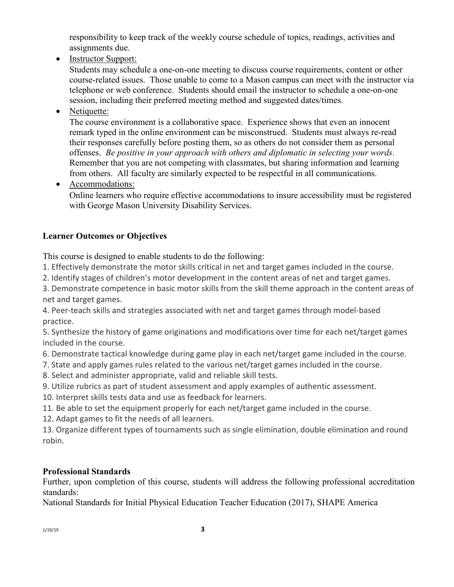responsibility to keep track of the weekly course schedule of topics, readings, activities and assignments due.

• Instructor Support:

Students may schedule a one-on-one meeting to discuss course requirements, content or other course-related issues. Those unable to come to a Mason campus can meet with the instructor via telephone or web conference. Students should email the instructor to schedule a one-on-one session, including their preferred meeting method and suggested dates/times.

• Netiquette:

The course environment is a collaborative space. Experience shows that even an innocent remark typed in the online environment can be misconstrued. Students must always re-read their responses carefully before posting them, so as others do not consider them as personal offenses. *Be positive in your approach with others and diplomatic in selecting your words*. Remember that you are not competing with classmates, but sharing information and learning from others. All faculty are similarly expected to be respectful in all communications.

• Accommodations:

Online learners who require effective accommodations to insure accessibility must be registered with George Mason University Disability Services.

# **Learner Outcomes or Objectives**

This course is designed to enable students to do the following:

- 1. Effectively demonstrate the motor skills critical in net and target games included in the course.
- 2. Identify stages of children's motor development in the content areas of net and target games.

3. Demonstrate competence in basic motor skills from the skill theme approach in the content areas of net and target games.

4. Peer-teach skills and strategies associated with net and target games through model-based practice.

5. Synthesize the history of game originations and modifications over time for each net/target games included in the course.

6. Demonstrate tactical knowledge during game play in each net/target game included in the course.

- 7. State and apply games rules related to the various net/target games included in the course.
- 8. Select and administer appropriate, valid and reliable skill tests.
- 9. Utilize rubrics as part of student assessment and apply examples of authentic assessment.
- 10. Interpret skills tests data and use as feedback for learners.
- 11. Be able to set the equipment properly for each net/target game included in the course.
- 12. Adapt games to fit the needs of all learners.

13. Organize different types of tournaments such as single elimination, double elimination and round robin.

# **Professional Standards**

Further, upon completion of this course, students will address the following professional accreditation standards:

National Standards for Initial Physical Education Teacher Education (2017), SHAPE America

1/19/19 **3**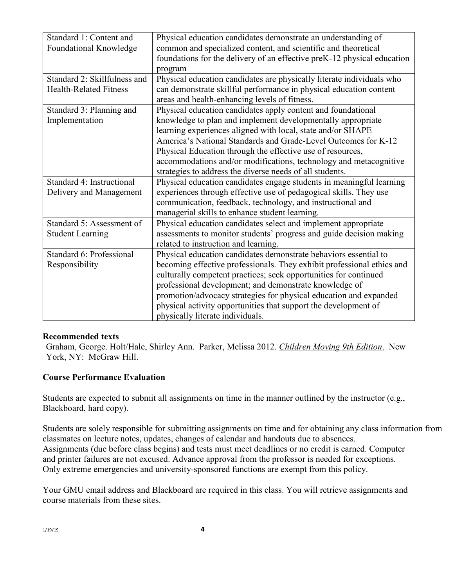| Standard 1: Content and       | Physical education candidates demonstrate an understanding of           |  |  |
|-------------------------------|-------------------------------------------------------------------------|--|--|
| Foundational Knowledge        | common and specialized content, and scientific and theoretical          |  |  |
|                               | foundations for the delivery of an effective preK-12 physical education |  |  |
|                               | program                                                                 |  |  |
| Standard 2: Skillfulness and  | Physical education candidates are physically literate individuals who   |  |  |
| <b>Health-Related Fitness</b> | can demonstrate skillful performance in physical education content      |  |  |
|                               | areas and health-enhancing levels of fitness.                           |  |  |
| Standard 3: Planning and      | Physical education candidates apply content and foundational            |  |  |
| Implementation                | knowledge to plan and implement developmentally appropriate             |  |  |
|                               | learning experiences aligned with local, state and/or SHAPE             |  |  |
|                               | America's National Standards and Grade-Level Outcomes for K-12          |  |  |
|                               | Physical Education through the effective use of resources,              |  |  |
|                               | accommodations and/or modifications, technology and metacognitive       |  |  |
|                               | strategies to address the diverse needs of all students.                |  |  |
| Standard 4: Instructional     | Physical education candidates engage students in meaningful learning    |  |  |
| Delivery and Management       | experiences through effective use of pedagogical skills. They use       |  |  |
|                               | communication, feedback, technology, and instructional and              |  |  |
|                               | managerial skills to enhance student learning.                          |  |  |
| Standard 5: Assessment of     | Physical education candidates select and implement appropriate          |  |  |
| <b>Student Learning</b>       | assessments to monitor students' progress and guide decision making     |  |  |
|                               | related to instruction and learning.                                    |  |  |
| Standard 6: Professional      | Physical education candidates demonstrate behaviors essential to        |  |  |
| Responsibility                | becoming effective professionals. They exhibit professional ethics and  |  |  |
|                               | culturally competent practices; seek opportunities for continued        |  |  |
|                               | professional development; and demonstrate knowledge of                  |  |  |
|                               | promotion/advocacy strategies for physical education and expanded       |  |  |
|                               | physical activity opportunities that support the development of         |  |  |
|                               | physically literate individuals.                                        |  |  |

#### **Recommended texts**

Graham, George. Holt/Hale, Shirley Ann. Parker, Melissa 2012. *Children Moving 9th Edition*. New York, NY: McGraw Hill.

## **Course Performance Evaluation**

Students are expected to submit all assignments on time in the manner outlined by the instructor (e.g., Blackboard, hard copy).

Students are solely responsible for submitting assignments on time and for obtaining any class information from classmates on lecture notes, updates, changes of calendar and handouts due to absences. Assignments (due before class begins) and tests must meet deadlines or no credit is earned. Computer and printer failures are not excused. Advance approval from the professor is needed for exceptions. Only extreme emergencies and university-sponsored functions are exempt from this policy.

Your GMU email address and Blackboard are required in this class. You will retrieve assignments and course materials from these sites.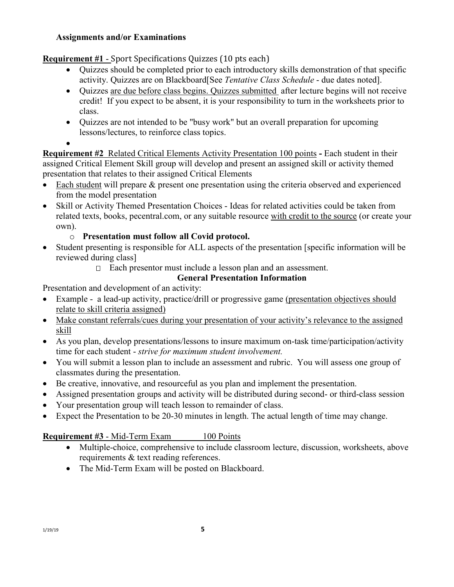## **Assignments and/or Examinations**

**Requirement #1** - Sport Specifications Quizzes (10 pts each)

- Quizzes should be completed prior to each introductory skills demonstration of that specific activity. Quizzes are on Blackboard[See *Tentative Class Schedule* - due dates noted].
- Quizzes are due before class begins. Quizzes submitted after lecture begins will not receive credit! If you expect to be absent, it is your responsibility to turn in the worksheets prior to class.
- Quizzes are not intended to be "busy work" but an overall preparation for upcoming lessons/lectures, to reinforce class topics.
- •

**Requirement #2** Related Critical Elements Activity Presentation 100 points **-** Each student in their assigned Critical Element Skill group will develop and present an assigned skill or activity themed presentation that relates to their assigned Critical Elements

- Each student will prepare & present one presentation using the criteria observed and experienced from the model presentation
- Skill or Activity Themed Presentation Choices Ideas for related activities could be taken from related texts, books, pecentral.com, or any suitable resource with credit to the source (or create your own).

# o **Presentation must follow all Covid protocol.**

- Student presenting is responsible for ALL aspects of the presentation [specific information will be reviewed during class]
	- Each presentor must include a lesson plan and an assessment.

# **General Presentation Information**

Presentation and development of an activity:

- Example a lead-up activity, practice/drill or progressive game (presentation objectives should relate to skill criteria assigned)
- Make constant referrals/cues during your presentation of your activity's relevance to the assigned skill
- As you plan, develop presentations/lessons to insure maximum on-task time/participation/activity time for each student - *strive for maximum student involvement.*
- You will submit a lesson plan to include an assessment and rubric. You will assess one group of classmates during the presentation.
- Be creative, innovative, and resourceful as you plan and implement the presentation.
- Assigned presentation groups and activity will be distributed during second- or third-class session
- Your presentation group will teach lesson to remainder of class.
- Expect the Presentation to be 20-30 minutes in length. The actual length of time may change.

# **Requirement #3** - Mid-Term Exam 100 Points

- Multiple-choice, comprehensive to include classroom lecture, discussion, worksheets, above requirements & text reading references.
- The Mid-Term Exam will be posted on Blackboard.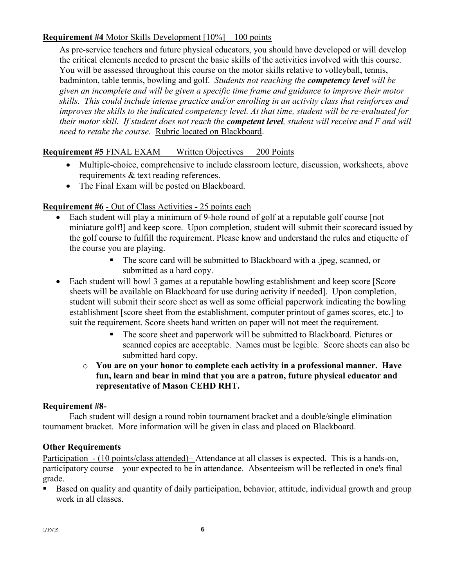## **Requirement #4** Motor Skills Development [10%] 100 points

As pre-service teachers and future physical educators, you should have developed or will develop the critical elements needed to present the basic skills of the activities involved with this course. You will be assessed throughout this course on the motor skills relative to volleyball, tennis, badminton, table tennis, bowling and golf. *Students not reaching the competency level will be given an incomplete and will be given a specific time frame and guidance to improve their motor skills. This could include intense practice and/or enrolling in an activity class that reinforces and improves the skills to the indicated competency level. At that time, student will be re-evaluated for their motor skill. If student does not reach the competent level, student will receive and F and will need to retake the course.* Rubric located on Blackboard.

## **Requirement #5** FINAL EXAM Written Objectives 200 Points

- Multiple-choice, comprehensive to include classroom lecture, discussion, worksheets, above requirements & text reading references.
- The Final Exam will be posted on Blackboard.

## **Requirement #6** - Out of Class Activities **-** 25 points each

- Each student will play a minimum of 9-hole round of golf at a reputable golf course [not] miniature golf!] and keep score. Upon completion, student will submit their scorecard issued by the golf course to fulfill the requirement. Please know and understand the rules and etiquette of the course you are playing.
	- The score card will be submitted to Blackboard with a .jpeg, scanned, or submitted as a hard copy.
- Each student will bowl 3 games at a reputable bowling establishment and keep score [Score] sheets will be available on Blackboard for use during activity if needed]. Upon completion, student will submit their score sheet as well as some official paperwork indicating the bowling establishment [score sheet from the establishment, computer printout of games scores, etc.] to suit the requirement. Score sheets hand written on paper will not meet the requirement.
	- The score sheet and paperwork will be submitted to Blackboard. Pictures or scanned copies are acceptable. Names must be legible. Score sheets can also be submitted hard copy.
	- o **You are on your honor to complete each activity in a professional manner. Have fun, learn and bear in mind that you are a patron, future physical educator and representative of Mason CEHD RHT.**

## **Requirement #8-**

Each student will design a round robin tournament bracket and a double/single elimination tournament bracket. More information will be given in class and placed on Blackboard.

## **Other Requirements**

Participation - (10 points/class attended)– Attendance at all classes is expected. This is a hands-on, participatory course – your expected to be in attendance. Absenteeism will be reflected in one's final grade.

 Based on quality and quantity of daily participation, behavior, attitude, individual growth and group work in all classes.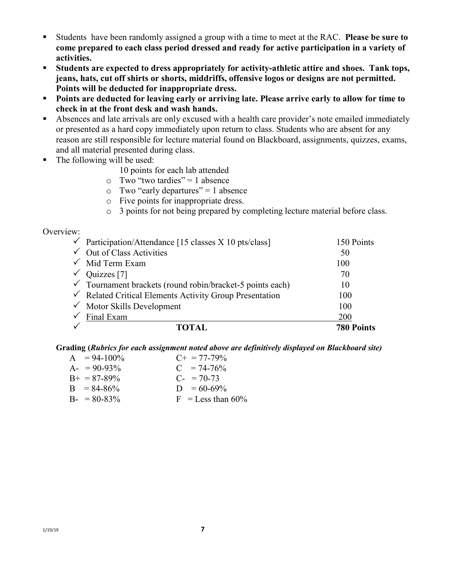- Students have been randomly assigned a group with a time to meet at the RAC. **Please be sure to come prepared to each class period dressed and ready for active participation in a variety of activities.**
- **Students are expected to dress appropriately for activity-athletic attire and shoes. Tank tops, jeans, hats, cut off shirts or shorts, middriffs, offensive logos or designs are not permitted. Points will be deducted for inappropriate dress.**
- **Points are deducted for leaving early or arriving late. Please arrive early to allow for time to check in at the front desk and wash hands.**
- Absences and late arrivals are only excused with a health care provider's note emailed immediately or presented as a hard copy immediately upon return to class. Students who are absent for any reason are still responsible for lecture material found on Blackboard, assignments, quizzes, exams, and all material presented during class.
- The following will be used:
	- 10 points for each lab attended
	- $\circ$  Two "two tardies" = 1 absence
	- $\circ$  Two "early departures" = 1 absence
	- o Five points for inappropriate dress.
	- o 3 points for not being prepared by completing lecture material before class.

#### Overview:

| $\checkmark$ Participation/Attendance [15 classes X 10 pts/class]    | 150 Points        |
|----------------------------------------------------------------------|-------------------|
| $\checkmark$ Out of Class Activities                                 | 50                |
| $\checkmark$ Mid Term Exam                                           | 100               |
| $\sqrt{Qu}$ Quizzes [7]                                              | 70                |
| $\checkmark$ Tournament brackets (round robin/bracket-5 points each) | 10                |
| $\checkmark$ Related Critical Elements Activity Group Presentation   | 100               |
| $\checkmark$ Motor Skills Development                                | 100               |
| Final Exam                                                           | 200               |
|                                                                      | <b>780 Points</b> |

#### **Grading (***Rubrics for each assignment noted above are definitively displayed on Blackboard site)*

| $A = 94-100\%$      | $C_{\pm} = 77 - 79\%$ |
|---------------------|-----------------------|
| $A - 90 - 93\%$     | $C = 74-76%$          |
| $B_{+} = 87 - 89\%$ | $C_{-}$ = 70-73       |
| $B = 84-86%$        | $D = 60-69\%$         |
| $B - 80 - 83\%$     | $F =$ Less than 60%   |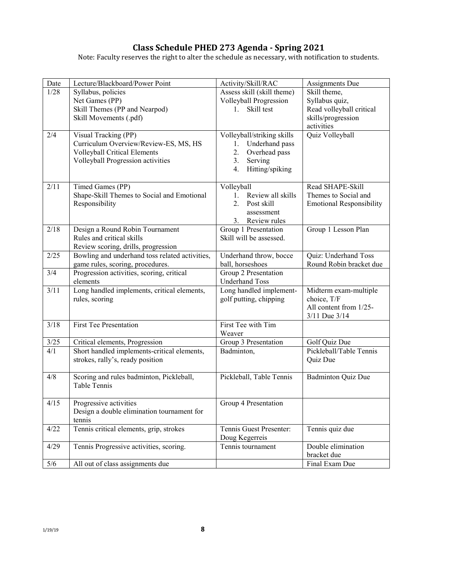### **Class Schedule PHED 273 Agenda - Spring 2021**

Note: Faculty reserves the right to alter the schedule as necessary, with notification to students.

| Date   | Lecture/Blackboard/Power Point                 | Activity/Skill/RAC               | Assignments Due                 |
|--------|------------------------------------------------|----------------------------------|---------------------------------|
| 1/28   | Syllabus, policies                             | Assess skill (skill theme)       | Skill theme,                    |
|        | Net Games (PP)                                 | Volleyball Progression           | Syllabus quiz,                  |
|        | Skill Themes (PP and Nearpod)                  | Skill test<br>1.                 | Read volleyball critical        |
|        | Skill Movements (.pdf)                         |                                  | skills/progression              |
|        |                                                |                                  | activities                      |
| 2/4    | Visual Tracking (PP)                           | Volleyball/striking skills       | Quiz Volleyball                 |
|        | Curriculum Overview/Review-ES, MS, HS          | Underhand pass<br>1.             |                                 |
|        | Volleyball Critical Elements                   | 2.<br>Overhead pass              |                                 |
|        | Volleyball Progression activities              | 3.<br>Serving                    |                                 |
|        |                                                | 4.<br>Hitting/spiking            |                                 |
|        |                                                |                                  |                                 |
| 2/11   | Timed Games (PP)                               | Volleyball                       | Read SHAPE-Skill                |
|        | Shape-Skill Themes to Social and Emotional     | Review all skills<br>$1_{\cdot}$ | Themes to Social and            |
|        | Responsibility                                 | 2.<br>Post skill                 | <b>Emotional Responsibility</b> |
|        |                                                | assessment                       |                                 |
|        |                                                | Review rules<br>3.               |                                 |
| 2/18   | Design a Round Robin Tournament                | Group 1 Presentation             | Group 1 Lesson Plan             |
|        | Rules and critical skills                      | Skill will be assessed.          |                                 |
|        | Review scoring, drills, progression            |                                  |                                 |
| 2/25   | Bowling and underhand toss related activities, | Underhand throw, bocce           | Quiz: Underhand Toss            |
|        | game rules, scoring, procedures.               | ball, horseshoes                 | Round Robin bracket due         |
| 3/4    | Progression activities, scoring, critical      | Group 2 Presentation             |                                 |
|        | elements                                       | <b>Underhand Toss</b>            |                                 |
| 3/11   | Long handled implements, critical elements,    | Long handled implement-          | Midterm exam-multiple           |
|        | rules, scoring                                 | golf putting, chipping           | choice, T/F                     |
|        |                                                |                                  | All content from 1/25-          |
| 3/18   | <b>First Tee Presentation</b>                  | First Tee with Tim               | 3/11 Due 3/14                   |
|        |                                                | Weaver                           |                                 |
| $3/25$ | Critical elements, Progression                 | Group 3 Presentation             | Golf Quiz Due                   |
| 4/1    | Short handled implements-critical elements,    | Badminton,                       | Pickleball/Table Tennis         |
|        | strokes, rally's, ready position               |                                  | Quiz Due                        |
|        |                                                |                                  |                                 |
| 4/8    | Scoring and rules badminton, Pickleball,       | Pickleball, Table Tennis         | <b>Badminton Quiz Due</b>       |
|        | Table Tennis                                   |                                  |                                 |
|        |                                                |                                  |                                 |
| 4/15   | Progressive activities                         | Group 4 Presentation             |                                 |
|        | Design a double elimination tournament for     |                                  |                                 |
|        | tennis                                         |                                  |                                 |
| 4/22   | Tennis critical elements, grip, strokes        | Tennis Guest Presenter:          | Tennis quiz due                 |
|        |                                                | Doug Kegerreis                   |                                 |
| 4/29   | Tennis Progressive activities, scoring.        | Tennis tournament                | Double elimination              |
|        |                                                |                                  | bracket due                     |
| $5/6$  | All out of class assignments due               |                                  | Final Exam Due                  |